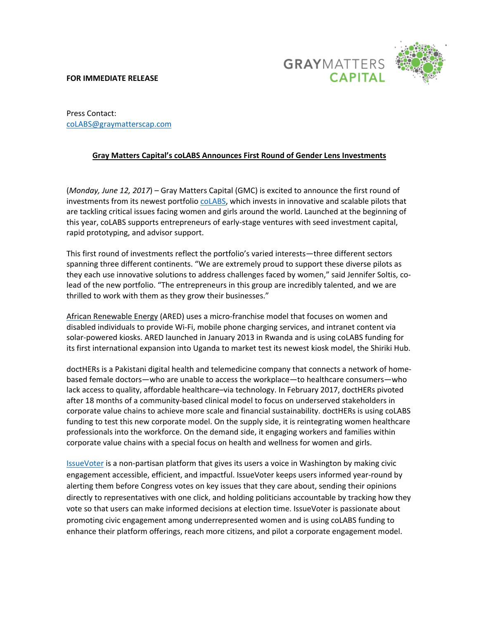## **FOR IMMEDIATE RELEASE**



Press Contact: [coLABS@graymatterscap.com](mailto:coLABS@graymatterscap.com)

## **Gray Matters Capital's coLABS Announces First Round of Gender Lens Investments**

(*Monday, June 12, 2017*) – Gray Matters Capital (GMC) is excited to announce the first round of investments from its newest portfolio [coLABS,](https://gmccolabs.com/) which invests in innovative and scalable pilots that are tackling critical issues facing women and girls around the world. Launched at the beginning of this year, coLABS supports entrepreneurs of early-stage ventures with seed investment capital, rapid prototyping, and advisor support.

This first round of investments reflect the portfolio's varied interests—three different sectors spanning three different continents. "We are extremely proud to support these diverse pilots as they each use innovative solutions to address challenges faced by women," said Jennifer Soltis, colead of the new portfolio. "The entrepreneurs in this group are incredibly talented, and we are thrilled to work with them as they grow their businesses."

[African Renewable Energy](http://www.a-r-e-d.com/) (ARED) uses a micro-franchise model that focuses on women and disabled individuals to provide Wi-Fi, mobile phone charging services, and intranet content via solar-powered kiosks. ARED launched in January 2013 in Rwanda and is using coLABS funding for its first international expansion into Uganda to market test its newest kiosk model, the Shiriki Hub.

doctHERs is a Pakistani digital health and telemedicine company that connects a network of homebased female doctors—who are unable to access the workplace—to healthcare consumers—who lack access to quality, affordable healthcare–via technology. In February 2017, doctHERs pivoted after 18 months of a community-based clinical model to focus on underserved stakeholders in corporate value chains to achieve more scale and financial sustainability. doctHERs is using coLABS funding to test this new corporate model. On the supply side, it is reintegrating women healthcare professionals into the workforce. On the demand side, it engaging workers and families within corporate value chains with a special focus on health and wellness for women and girls.

[IssueVoter](https://issuevoter.org/) is a non-partisan platform that gives its users a voice in Washington by making civic engagement accessible, efficient, and impactful. IssueVoter keeps users informed year-round by alerting them before Congress votes on key issues that they care about, sending their opinions directly to representatives with one click, and holding politicians accountable by tracking how they vote so that users can make informed decisions at election time. IssueVoter is passionate about promoting civic engagement among underrepresented women and is using coLABS funding to enhance their platform offerings, reach more citizens, and pilot a corporate engagement model.